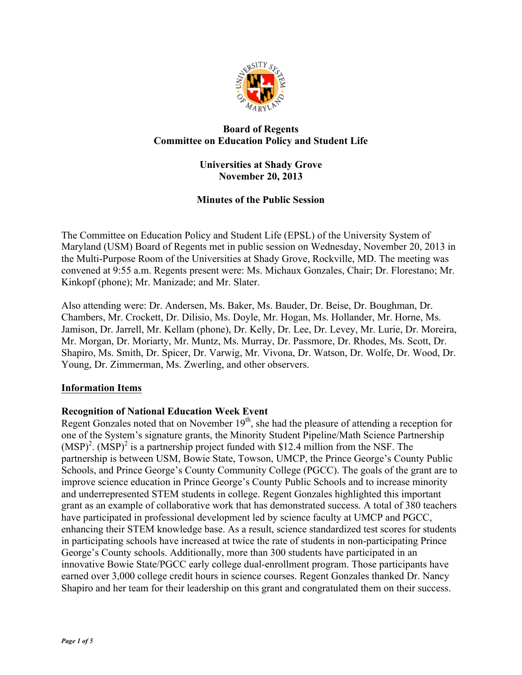

# **Board of Regents Committee on Education Policy and Student Life**

## **Universities at Shady Grove November 20, 2013**

# **Minutes of the Public Session**

The Committee on Education Policy and Student Life (EPSL) of the University System of Maryland (USM) Board of Regents met in public session on Wednesday, November 20, 2013 in the Multi-Purpose Room of the Universities at Shady Grove, Rockville, MD. The meeting was convened at 9:55 a.m. Regents present were: Ms. Michaux Gonzales, Chair; Dr. Florestano; Mr. Kinkopf (phone); Mr. Manizade; and Mr. Slater.

Also attending were: Dr. Andersen, Ms. Baker, Ms. Bauder, Dr. Beise, Dr. Boughman, Dr. Chambers, Mr. Crockett, Dr. Dilisio, Ms. Doyle, Mr. Hogan, Ms. Hollander, Mr. Horne, Ms. Jamison, Dr. Jarrell, Mr. Kellam (phone), Dr. Kelly, Dr. Lee, Dr. Levey, Mr. Lurie, Dr. Moreira, Mr. Morgan, Dr. Moriarty, Mr. Muntz, Ms. Murray, Dr. Passmore, Dr. Rhodes, Ms. Scott, Dr. Shapiro, Ms. Smith, Dr. Spicer, Dr. Varwig, Mr. Vivona, Dr. Watson, Dr. Wolfe, Dr. Wood, Dr. Young, Dr. Zimmerman, Ms. Zwerling, and other observers.

# **Information Items**

# **Recognition of National Education Week Event**

Regent Gonzales noted that on November 19<sup>th</sup>, she had the pleasure of attending a reception for one of the System's signature grants, the Minority Student Pipeline/Math Science Partnership  $(MSP)<sup>2</sup>$ .  $(MSP)<sup>2</sup>$  is a partnership project funded with \$12.4 million from the NSF. The partnership is between USM, Bowie State, Towson, UMCP, the Prince George's County Public Schools, and Prince George's County Community College (PGCC). The goals of the grant are to improve science education in Prince George's County Public Schools and to increase minority and underrepresented STEM students in college. Regent Gonzales highlighted this important grant as an example of collaborative work that has demonstrated success. A total of 380 teachers have participated in professional development led by science faculty at UMCP and PGCC, enhancing their STEM knowledge base. As a result, science standardized test scores for students in participating schools have increased at twice the rate of students in non-participating Prince George's County schools. Additionally, more than 300 students have participated in an innovative Bowie State/PGCC early college dual-enrollment program. Those participants have earned over 3,000 college credit hours in science courses. Regent Gonzales thanked Dr. Nancy Shapiro and her team for their leadership on this grant and congratulated them on their success.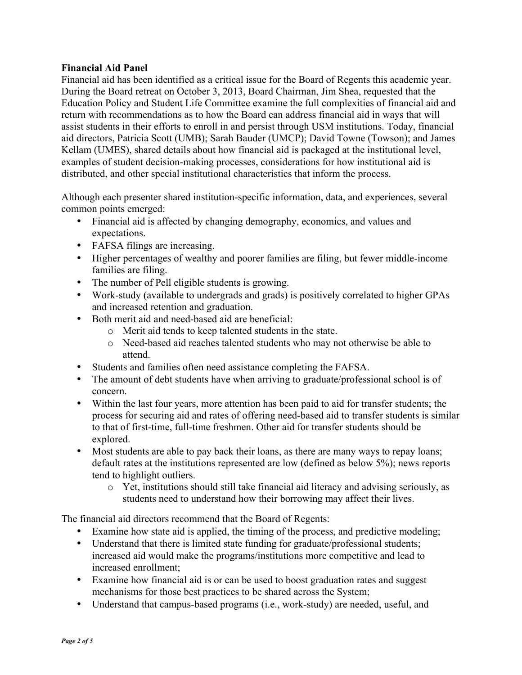## **Financial Aid Panel**

Financial aid has been identified as a critical issue for the Board of Regents this academic year. During the Board retreat on October 3, 2013, Board Chairman, Jim Shea, requested that the Education Policy and Student Life Committee examine the full complexities of financial aid and return with recommendations as to how the Board can address financial aid in ways that will assist students in their efforts to enroll in and persist through USM institutions. Today, financial aid directors, Patricia Scott (UMB); Sarah Bauder (UMCP); David Towne (Towson); and James Kellam (UMES), shared details about how financial aid is packaged at the institutional level, examples of student decision-making processes, considerations for how institutional aid is distributed, and other special institutional characteristics that inform the process.

Although each presenter shared institution-specific information, data, and experiences, several common points emerged:

- Financial aid is affected by changing demography, economics, and values and expectations.
- FAFSA filings are increasing.
- Higher percentages of wealthy and poorer families are filing, but fewer middle-income families are filing.
- The number of Pell eligible students is growing.
- Work-study (available to undergrads and grads) is positively correlated to higher GPAs and increased retention and graduation.
- Both merit aid and need-based aid are beneficial:
	- o Merit aid tends to keep talented students in the state.
	- o Need-based aid reaches talented students who may not otherwise be able to attend.
- Students and families often need assistance completing the FAFSA.
- The amount of debt students have when arriving to graduate/professional school is of concern.
- Within the last four years, more attention has been paid to aid for transfer students; the process for securing aid and rates of offering need-based aid to transfer students is similar to that of first-time, full-time freshmen. Other aid for transfer students should be explored.
- Most students are able to pay back their loans, as there are many ways to repay loans; default rates at the institutions represented are low (defined as below 5%); news reports tend to highlight outliers.
	- o Yet, institutions should still take financial aid literacy and advising seriously, as students need to understand how their borrowing may affect their lives.

The financial aid directors recommend that the Board of Regents:

- Examine how state aid is applied, the timing of the process, and predictive modeling;
- Understand that there is limited state funding for graduate/professional students; increased aid would make the programs/institutions more competitive and lead to increased enrollment;
- Examine how financial aid is or can be used to boost graduation rates and suggest mechanisms for those best practices to be shared across the System;
- Understand that campus-based programs (i.e., work-study) are needed, useful, and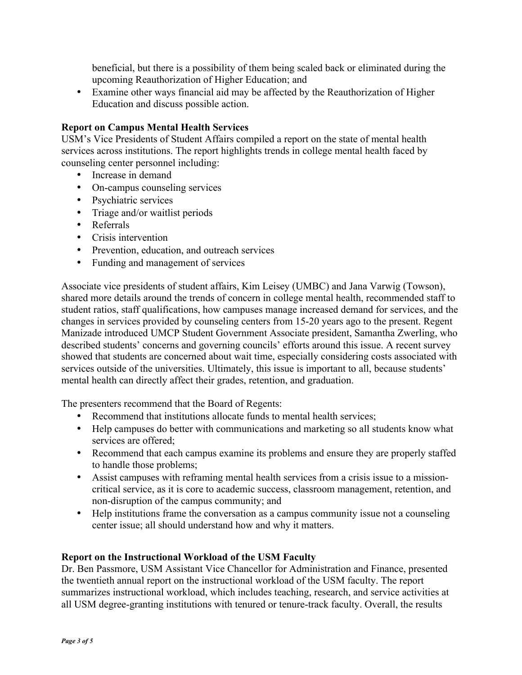beneficial, but there is a possibility of them being scaled back or eliminated during the upcoming Reauthorization of Higher Education; and

• Examine other ways financial aid may be affected by the Reauthorization of Higher Education and discuss possible action.

### **Report on Campus Mental Health Services**

USM's Vice Presidents of Student Affairs compiled a report on the state of mental health services across institutions. The report highlights trends in college mental health faced by counseling center personnel including:

- Increase in demand
- On-campus counseling services
- Psychiatric services
- Triage and/or waitlist periods
- Referrals
- Crisis intervention
- Prevention, education, and outreach services
- Funding and management of services

Associate vice presidents of student affairs, Kim Leisey (UMBC) and Jana Varwig (Towson), shared more details around the trends of concern in college mental health, recommended staff to student ratios, staff qualifications, how campuses manage increased demand for services, and the changes in services provided by counseling centers from 15-20 years ago to the present. Regent Manizade introduced UMCP Student Government Associate president, Samantha Zwerling, who described students' concerns and governing councils' efforts around this issue. A recent survey showed that students are concerned about wait time, especially considering costs associated with services outside of the universities. Ultimately, this issue is important to all, because students' mental health can directly affect their grades, retention, and graduation.

The presenters recommend that the Board of Regents:

- Recommend that institutions allocate funds to mental health services;
- Help campuses do better with communications and marketing so all students know what services are offered;
- Recommend that each campus examine its problems and ensure they are properly staffed to handle those problems;
- Assist campuses with reframing mental health services from a crisis issue to a missioncritical service, as it is core to academic success, classroom management, retention, and non-disruption of the campus community; and
- Help institutions frame the conversation as a campus community issue not a counseling center issue; all should understand how and why it matters.

#### **Report on the Instructional Workload of the USM Faculty**

Dr. Ben Passmore, USM Assistant Vice Chancellor for Administration and Finance, presented the twentieth annual report on the instructional workload of the USM faculty. The report summarizes instructional workload, which includes teaching, research, and service activities at all USM degree-granting institutions with tenured or tenure-track faculty. Overall, the results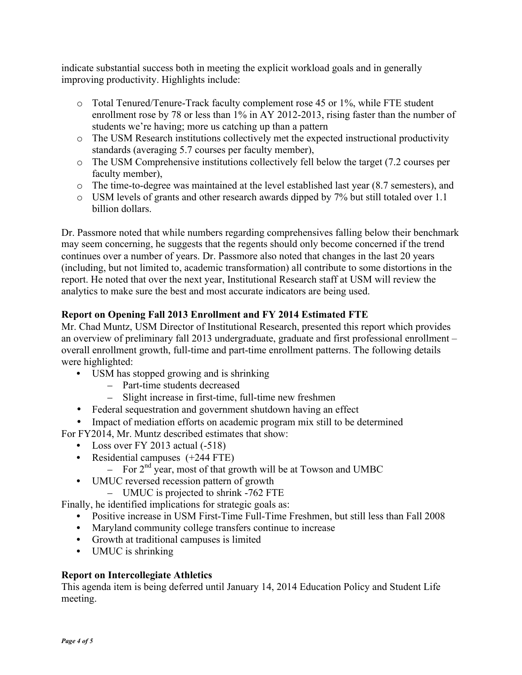indicate substantial success both in meeting the explicit workload goals and in generally improving productivity. Highlights include:

- o Total Tenured/Tenure-Track faculty complement rose 45 or 1%, while FTE student enrollment rose by 78 or less than 1% in AY 2012-2013, rising faster than the number of students we're having; more us catching up than a pattern
- o The USM Research institutions collectively met the expected instructional productivity standards (averaging 5.7 courses per faculty member),
- o The USM Comprehensive institutions collectively fell below the target (7.2 courses per faculty member),
- o The time-to-degree was maintained at the level established last year (8.7 semesters), and
- o USM levels of grants and other research awards dipped by 7% but still totaled over 1.1 billion dollars.

Dr. Passmore noted that while numbers regarding comprehensives falling below their benchmark may seem concerning, he suggests that the regents should only become concerned if the trend continues over a number of years. Dr. Passmore also noted that changes in the last 20 years (including, but not limited to, academic transformation) all contribute to some distortions in the report. He noted that over the next year, Institutional Research staff at USM will review the analytics to make sure the best and most accurate indicators are being used.

# **Report on Opening Fall 2013 Enrollment and FY 2014 Estimated FTE**

Mr. Chad Muntz, USM Director of Institutional Research, presented this report which provides an overview of preliminary fall 2013 undergraduate, graduate and first professional enrollment – overall enrollment growth, full-time and part-time enrollment patterns. The following details were highlighted:

- USM has stopped growing and is shrinking
	- Part-time students decreased
	- Slight increase in first-time, full-time new freshmen
- Federal sequestration and government shutdown having an effect

• Impact of mediation efforts on academic program mix still to be determined

- For FY2014, Mr. Muntz described estimates that show:
	- Loss over FY 2013 actual (-518)
	- Residential campuses  $(+244$  FTE)
		- For  $2<sup>nd</sup>$  year, most of that growth will be at Towson and UMBC
	- UMUC reversed recession pattern of growth
		- UMUC is projected to shrink -762 FTE

Finally, he identified implications for strategic goals as:

- Positive increase in USM First-Time Full-Time Freshmen, but still less than Fall 2008
- Maryland community college transfers continue to increase
- Growth at traditional campuses is limited
- UMUC is shrinking

# **Report on Intercollegiate Athletics**

This agenda item is being deferred until January 14, 2014 Education Policy and Student Life meeting.